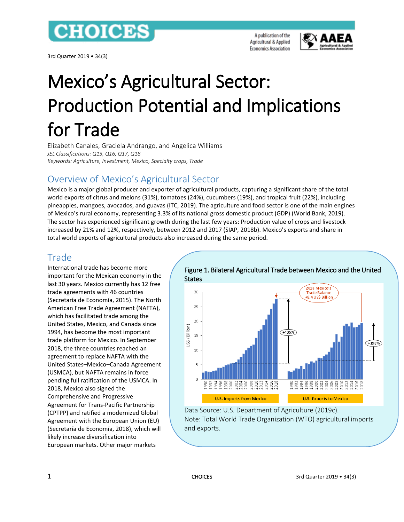

3rd Quarter 2019 • 34(3)



# Mexico's Agricultural Sector: Production Potential and Implications for Trade

Elizabeth Canales, Graciela Andrango, and Angelica Williams *JEL Classifications: Q13, Q16, Q17, Q18 Keywords: Agriculture, Investment, Mexico, Specialty crops, Trade*

# Overview of Mexico's Agricultural Sector

Mexico is a major global producer and exporter of agricultural products, capturing a significant share of the total world exports of citrus and melons (31%), tomatoes (24%), cucumbers (19%), and tropical fruit (22%), including pineapples, mangoes, avocados, and guavas (ITC, 2019). The agriculture and food sector is one of the main engines of Mexico's rural economy, representing 3.3% of its national gross domestic product (GDP) (World Bank, 2019). The sector has experienced significant growth during the last few years: Production value of crops and livestock increased by 21% and 12%, respectively, between 2012 and 2017 (SIAP, 2018b). Mexico's exports and share in total world exports of agricultural products also increased during the same period.

# Trade

International trade has become more important for the Mexican economy in the last 30 years. Mexico currently has 12 free trade agreements with 46 countries (Secretaría de Economía, 2015). The North American Free Trade Agreement (NAFTA), which has facilitated trade among the United States, Mexico, and Canada since 1994, has become the most important trade platform for Mexico. In September 2018, the three countries reached an agreement to replace NAFTA with the United States–Mexico–Canada Agreement (USMCA), but NAFTA remains in force pending full ratification of the USMCA. In 2018, Mexico also signed the Comprehensive and Progressive Agreement for Trans-Pacific Partnership (CPTPP) and ratified a modernized Global Agreement with the European Union (EU) (Secretaría de Economía, 2018), which will likely increase diversification into European markets. Other major markets



# [Figure 1. Bilateral Agricultural Trade between Mexico and the United](http://www.choicesmagazine.org/UserFiles/image/CanalesFigure12.0.png)

Data Source: U.S. Department of Agriculture (2019c). Note: Total World Trade Organization (WTO) agricultural imports and exports.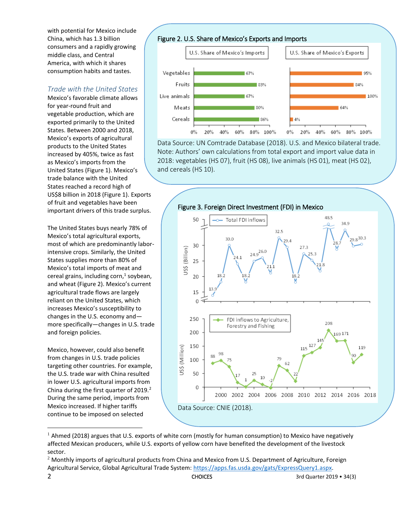with potential for Mexico include China, which has 1.3 billion consumers and a rapidly growing middle class, and Central America, with which it shares consumption habits and tastes.

#### *Trade with the United States*

Mexico's favorable climate allows for year-round fruit and vegetable production, which are exported primarily to the United States. Between 2000 and 2018, Mexico's exports of agricultural products to the United States increased by 405%, twice as fast as Mexico's imports from the United States (Figure 1). Mexico's trade balance with the United States reached a record high of US\$8 billion in 2018 (Figure 1). Exports of fruit and vegetables have been important drivers of this trade surplus.

The United States buys nearly 78% of Mexico's total agricultural exports, most of which are predominantly laborintensive crops. Similarly, the United States supplies more than 80% of Mexico's total imports of meat and cereal grains, including corn,<sup>1</sup> soybean, and wheat (Figure 2). Mexico's current agricultural trade flows are largely reliant on the United States, which increases Mexico's susceptibility to changes in the U.S. economy and more specifically—changes in U.S. trade and foreign policies.

Mexico, however, could also benefit from changes in U.S. trade policies targeting other countries. For example, the U.S. trade war with China resulted in lower U.S. agricultural imports from China during the first quarter of 2019.<sup>2</sup> During the same period, imports from Mexico increased. If higher tariffs continue to be imposed on selected





[Data Source: UN Comtrade Database \(2018\). U.S. and Mexico bilateral trade.](http://www.choicesmagazine.org/UserFiles/image/CanalesFigure22.0.png) Note: Authors' own calculations from total export and import value data in 2018: vegetables (HS 07), fruit (HS 08), live animals (HS 01), meat (HS 02), and cereals (HS 10).



 $1$  Ahmed (2018) argues that U.S. exports of white corn (mostly for human consumption) to Mexico have negatively affected Mexican producers, while U.S. exports of yellow corn have benefited the development of the livestock sector.

 $\overline{a}$ 

<sup>2</sup> CHOICES 3rd Quarter 2019 • 34(3) <sup>2</sup> Monthly imports of agricultural products from China and Mexico from U.S. Department of Agriculture, Foreign Agricultural Service, Global Agricultural Trade System: [https://apps.fas.usda.gov/gats/ExpressQuery1.aspx.](https://apps.fas.usda.gov/gats/ExpressQuery1.aspx)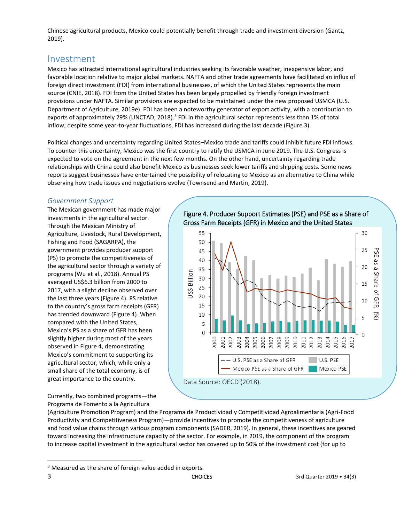Chinese agricultural products, Mexico could potentially benefit through trade and investment diversion (Gantz, 2019).

### Investment

Mexico has attracted international agricultural industries seeking its favorable weather, inexpensive labor, and favorable location relative to major global markets. NAFTA and other trade agreements have facilitated an influx of foreign direct investment (FDI) from international businesses, of which the United States represents the main source (CNIE, 2018). FDI from the United States has been largely propelled by friendly foreign investment provisions under NAFTA. Similar provisions are expected to be maintained under the new proposed USMCA (U.S. Department of Agriculture, 2019e). FDI has been a noteworthy generator of export activity, with a contribution to exports of approximately 29% (UNCTAD, 2018).<sup>3</sup> FDI in the agricultural sector represents less than 1% of total inflow; despite some year-to-year fluctuations, FDI has increased during the last decade (Figure 3).

Political changes and uncertainty regarding United States–Mexico trade and tariffs could inhibit future FDI inflows. To counter this uncertainty, Mexico was the first country to ratify the USMCA in June 2019. The U.S. Congress is expected to vote on the agreement in the next few months. On the other hand, uncertainty regarding trade relationships with China could also benefit Mexico as businesses seek lower tariffs and shipping costs. Some news reports suggest businesses have entertained the possibility of relocating to Mexico as an alternative to China while observing how trade issues and negotiations evolve (Townsend and Martin, 2019).

#### *Government Support*

The Mexican government has made major investments in the agricultural sector. Through the Mexican Ministry of Agriculture, Livestock, Rural Development, Fishing and Food (SAGARPA), the government provides producer support (PS) to promote the competitiveness of the agricultural sector through a variety of programs (Wu et al., 2018). Annual PS averaged US\$6.3 billion from 2000 to 2017, with a slight decline observed over the last three years (Figure 4). PS relative to the country's gross farm receipts (GFR) has trended downward (Figure 4). When compared with the United States, Mexico's PS as a share of GFR has been slightly higher during most of the years observed in Figure 4, demonstrating Mexico's commitment to supporting its agricultural sector, which, while only a small share of the total economy, is of great importance to the country.

[Figure 4. Producer Support Estimates \(PSE\) and PSE as a Share of](http://www.choicesmagazine.org/UserFiles/image/CanalesFigure42.0.png)  Gross Farm Receipts (GFR) in Mexico and the United States



Currently, two combined programs—the Programa de Fomento a la Agricultura

(Agriculture Promotion Program) and the Programa de Productividad y Competitividad Agroalimentaria (Agri-Food Productivity and Competitiveness Program)—provide incentives to promote the competitiveness of agriculture and food value chains through various program components (SADER, 2019). In general, these incentives are geared toward increasing the infrastructure capacity of the sector. For example, in 2019, the component of the program to increase capital investment in the agricultural sector has covered up to 50% of the investment cost (for up to

 $\overline{\phantom{a}}$ 

 $3$  Measured as the share of foreign value added in exports.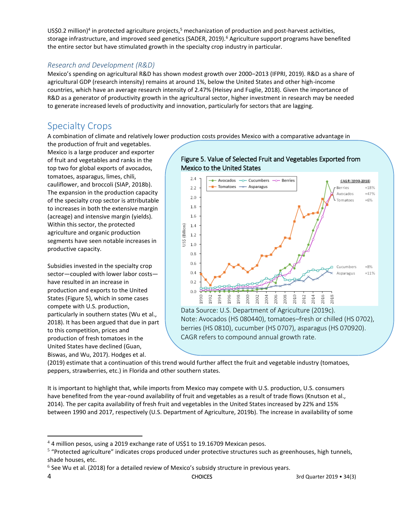US\$0.2 million)<sup>4</sup> in protected agriculture projects,<sup>5</sup> mechanization of production and post-harvest activities, storage infrastructure, and improved seed genetics (SADER, 2019).<sup>6</sup> Agriculture support programs have benefited the entire sector but have stimulated growth in the specialty crop industry in particular.

#### *Research and Development (R&D)*

Mexico's spending on agricultural R&D has shown modest growth over 2000–2013 (IFPRI, 2019). R&D as a share of agricultural GDP (research intensity) remains at around 1%, below the United States and other high-income countries, which have an average research intensity of 2.47% (Heisey and Fuglie, 2018). Given the importance of R&D as a generator of productivity growth in the agricultural sector, higher investment in research may be needed to generate increased levels of productivity and innovation, particularly for sectors that are lagging.

# Specialty Crops

A combination of climate and relatively lower production costs provides Mexico with a comparative advantage in

the production of fruit and vegetables. Mexico is a large producer and exporter of fruit and vegetables and ranks in the top two for global exports of avocados, tomatoes, asparagus, limes, chili, cauliflower, and broccoli (SIAP, 2018b). The expansion in the production capacity of the specialty crop sector is attributable to increases in both the extensive margin (acreage) and intensive margin (yields). Within this sector, the protected agriculture and organic production segments have seen notable increases in productive capacity.

Subsidies invested in the specialty crop sector—coupled with lower labor costs have resulted in an increase in production and exports to the United States (Figure 5), which in some cases compete with U.S. production, particularly in southern states (Wu et al., 2018). It has been argued that due in part to this competition, prices and production of fresh tomatoes in the United States have declined (Guan, Biswas, and Wu, 2017). Hodges et al.

 $\overline{\phantom{a}}$ 

#### Figure 5. Value of Selected Fruit and Vegetables Exported from Mexico to the United States



CAGR refers to compound annual growth rate.

(2019) estimate that a continuation of this trend would further affect the fruit and vegetable industry (tomatoes, peppers, strawberries, etc.) in Florida and other southern states.

It is important to highlight that, while imports from Mexico may compete with U.S. production, U.S. consumers have benefited from the year-round availability of fruit and vegetables as a result of trade flows (Knutson et al., 2014). The per capita availability of fresh fruit and vegetables in the United States increased by 22% and 15% between 1990 and 2017, respectively (U.S. Department of Agriculture, 2019b). The increase in availability of some

<sup>&</sup>lt;sup>4</sup> 4 million pesos, using a 2019 exchange rate of US\$1 to 19.16709 Mexican pesos.

<sup>&</sup>lt;sup>5</sup> "Protected agriculture" indicates crops produced under protective structures such as greenhouses, high tunnels, shade houses, etc.

 $<sup>6</sup>$  See Wu et al. (2018) for a detailed review of Mexico's subsidy structure in previous years.</sup>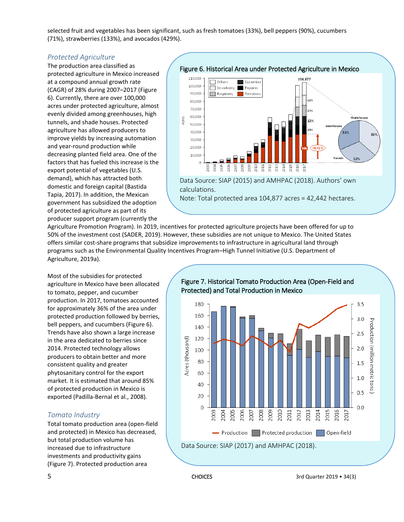selected fruit and vegetables has been significant, such as fresh tomatoes (33%), bell peppers (90%), cucumbers (71%), strawberries (133%), and avocados (429%).

#### *Protected Agriculture*

The production area classified as protected agriculture in Mexico increased at a compound annual growth rate (CAGR) of 28% during 2007–2017 (Figure 6). Currently, there are over 100,000 acres under protected agriculture, almost evenly divided among greenhouses, high tunnels, and shade houses. Protected agriculture has allowed producers to improve yields by increasing automation and year-round production while decreasing planted field area. One of the factors that has fueled this increase is the export potential of vegetables (U.S. demand), which has attracted both domestic and foreign capital (Bastida Tapia, 2017). In addition, the Mexican government has subsidized the adoption of protected agriculture as part of its producer support program (currently the

[Figure 6. Historical Area under Protected Agriculture in Mexico](http://www.choicesmagazine.org/UserFiles/image/CanalesFigure62.0.png) 



Data Source: SIAP (2015) and AMHPAC (2018). Authors' own calculations.

Note: Total protected area 104,877 acres = 42,442 hectares.

Agriculture Promotion Program). In 2019, incentives for protected agriculture projects have been offered for up to 50% of the investment cost (SADER, 2019). However, these subsidies are not unique to Mexico. The United States offers similar cost-share programs that subsidize improvements to infrastructure in agricultural land through programs such as the Environmental Quality Incentives Program–High Tunnel Initiative (U.S. Department of Agriculture, 2019a).

Most of the subsidies for protected agriculture in Mexico have been allocated to tomato, pepper, and cucumber production. In 2017, tomatoes accounted for approximately 36% of the area under protected production followed by berries, bell peppers, and cucumbers (Figure 6). Trends have also shown a large increase in the area dedicated to berries since 2014. Protected technology allows producers to obtain better and more consistent quality and greater phytosanitary control for the export market. It is estimated that around 85% of protected production in Mexico is exported (Padilla-Bernal et al., 2008).

#### *Tomato Industry*

Total tomato production area (open-field and protected) in Mexico has decreased, but total production volume has increased due to infrastructure investments and productivity gains (Figure 7). Protected production area



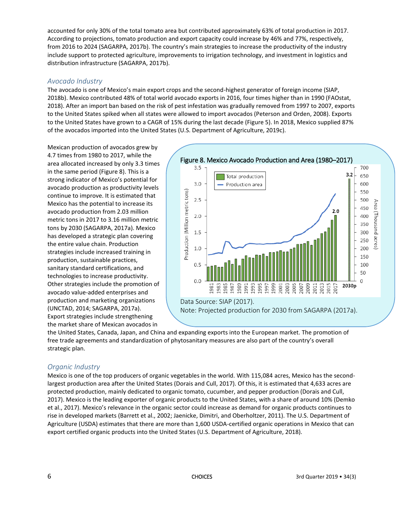accounted for only 30% of the total tomato area but contributed approximately 63% of total production in 2017. According to projections, tomato production and export capacity could increase by 46% and 77%, respectively, from 2016 to 2024 (SAGARPA, 2017b). The country's main strategies to increase the productivity of the industry include support to protected agriculture, improvements to irrigation technology, and investment in logistics and distribution infrastructure (SAGARPA, 2017b).

#### *Avocado Industry*

The avocado is one of Mexico's main export crops and the second-highest generator of foreign income (SIAP, 2018b). Mexico contributed 48% of total world avocado exports in 2016, four times higher than in 1990 (FAOstat, 2018). After an import ban based on the risk of pest infestation was gradually removed from 1997 to 2007, exports to the United States spiked when all states were allowed to import avocados (Peterson and Orden, 2008). Exports to the United States have grown to a CAGR of 15% during the last decade (Figure 5). In 2018, Mexico supplied 87% of the avocados imported into the United States (U.S. Department of Agriculture, 2019c).

Mexican production of avocados grew by 4.7 times from 1980 to 2017, while the area allocated increased by only 3.3 times in the same period (Figure 8). This is a strong indicator of Mexico's potential for avocado production as productivity levels continue to improve. It is estimated that Mexico has the potential to increase its avocado production from 2.03 million metric tons in 2017 to 3.16 million metric tons by 2030 (SAGARPA, 2017a). Mexico has developed a strategic plan covering the entire value chain. Production strategies include increased training in production, sustainable practices, sanitary standard certifications, and technologies to increase productivity. Other strategies include the promotion of avocado value-added enterprises and production and marketing organizations (UNCTAD, 2014; SAGARPA, 2017a). Export strategies include strengthening the market share of Mexican avocados in



the United States, Canada, Japan, and China and expanding exports into the European market. The promotion of free trade agreements and standardization of phytosanitary measures are also part of the country's overall strategic plan.

#### *Organic Industry*

Mexico is one of the top producers of organic vegetables in the world. With 115,084 acres, Mexico has the secondlargest production area after the United States (Dorais and Cull, 2017). Of this, it is estimated that 4,633 acres are protected production, mainly dedicated to organic tomato, cucumber, and pepper production (Dorais and Cull, 2017). Mexico is the leading exporter of organic products to the United States, with a share of around 10% (Demko et al., 2017). Mexico's relevance in the organic sector could increase as demand for organic products continues to rise in developed markets (Barrett et al., 2002; Jaenicke, Dimitri, and Oberholtzer, 2011). The U.S. Department of Agriculture (USDA) estimates that there are more than 1,600 USDA-certified organic operations in Mexico that can export certified organic products into the United States (U.S. Department of Agriculture, 2018).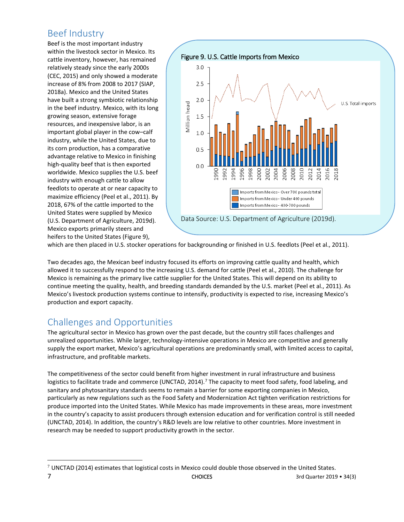# Beef Industry

Beef is the most important industry within the livestock sector in Mexico. Its cattle inventory, however, has remained relatively steady since the early 2000s (CEC, 2015) and only showed a moderate increase of 8% from 2008 to 2017 (SIAP, 2018a). Mexico and the United States have built a strong symbiotic relationship in the beef industry. Mexico, with its long growing season, extensive forage resources, and inexpensive labor, is an important global player in the cow–calf industry, while the United States, due to its corn production, has a comparative advantage relative to Mexico in finishing high-quality beef that is then exported worldwide. Mexico supplies the U.S. beef industry with enough cattle to allow feedlots to operate at or near capacity to maximize efficiency (Peel et al., 2011). By 2018, 67% of the cattle imported to the United States were supplied by Mexico (U.S. Department of Agriculture, 2019d). Mexico exports primarily steers and heifers to the United States (Figure 9),



which are then placed in U.S. stocker operations for backgrounding or finished in U.S. feedlots (Peel et al., 2011).

Two decades ago, the Mexican beef industry focused its efforts on improving cattle quality and health, which allowed it to successfully respond to the increasing U.S. demand for cattle (Peel et al., 2010). The challenge for Mexico is remaining as the primary live cattle supplier for the United States. This will depend on its ability to continue meeting the quality, health, and breeding standards demanded by the U.S. market (Peel et al., 2011). As Mexico's livestock production systems continue to intensify, productivity is expected to rise, increasing Mexico's production and export capacity.

# Challenges and Opportunities

 $\overline{\phantom{a}}$ 

The agricultural sector in Mexico has grown over the past decade, but the country still faces challenges and unrealized opportunities. While larger, technology-intensive operations in Mexico are competitive and generally supply the export market, Mexico's agricultural operations are predominantly small, with limited access to capital, infrastructure, and profitable markets.

The competitiveness of the sector could benefit from higher investment in rural infrastructure and business logistics to facilitate trade and commerce (UNCTAD, 2014).<sup>7</sup> The capacity to meet food safety, food labeling, and sanitary and phytosanitary standards seems to remain a barrier for some exporting companies in Mexico, particularly as new regulations such as the Food Safety and Modernization Act tighten verification restrictions for produce imported into the United States. While Mexico has made improvements in these areas, more investment in the country's capacity to assist producers through extension education and for verification control is still needed (UNCTAD, 2014). In addition, the country's R&D levels are low relative to other countries. More investment in research may be needed to support productivity growth in the sector.

**<sup>7</sup>** CHOICES 3rd Quarter 2019 • 34(3)  $7$  UNCTAD (2014) estimates that logistical costs in Mexico could double those observed in the United States.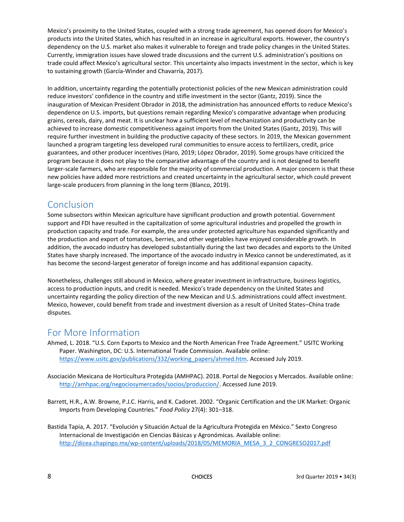Mexico's proximity to the United States, coupled with a strong trade agreement, has opened doors for Mexico's products into the United States, which has resulted in an increase in agricultural exports. However, the country's dependency on the U.S. market also makes it vulnerable to foreign and trade policy changes in the United States. Currently, immigration issues have slowed trade discussions and the current U.S. administration's positions on trade could affect Mexico's agricultural sector. This uncertainty also impacts investment in the sector, which is key to sustaining growth (García-Winder and Chavarría, 2017).

In addition, uncertainty regarding the potentially protectionist policies of the new Mexican administration could reduce investors' confidence in the country and stifle investment in the sector (Gantz, 2019). Since the inauguration of Mexican President Obrador in 2018, the administration has announced efforts to reduce Mexico's dependence on U.S. imports, but questions remain regarding Mexico's comparative advantage when producing grains, cereals, dairy, and meat. It is unclear how a sufficient level of mechanization and productivity can be achieved to increase domestic competitiveness against imports from the United States (Gantz, 2019). This will require further investment in building the productive capacity of these sectors. In 2019, the Mexican government launched a program targeting less developed rural communities to ensure access to fertilizers, credit, price guarantees, and other producer incentives (Haro, 2019; López Obrador, 2019). Some groups have criticized the program because it does not play to the comparative advantage of the country and is not designed to benefit larger-scale farmers, who are responsible for the majority of commercial production. A major concern is that these new policies have added more restrictions and created uncertainty in the agricultural sector, which could prevent large-scale producers from planning in the long term (Blanco, 2019).

## Conclusion

Some subsectors within Mexican agriculture have significant production and growth potential. Government support and FDI have resulted in the capitalization of some agricultural industries and propelled the growth in production capacity and trade. For example, the area under protected agriculture has expanded significantly and the production and export of tomatoes, berries, and other vegetables have enjoyed considerable growth. In addition, the avocado industry has developed substantially during the last two decades and exports to the United States have sharply increased. The importance of the avocado industry in Mexico cannot be underestimated, as it has become the second-largest generator of foreign income and has additional expansion capacity.

Nonetheless, challenges still abound in Mexico, where greater investment in infrastructure, business logistics, access to production inputs, and credit is needed. Mexico's trade dependency on the United States and uncertainty regarding the policy direction of the new Mexican and U.S. administrations could affect investment. Mexico, however, could benefit from trade and investment diversion as a result of United States–China trade disputes.

# For More Information

- Ahmed, L. 2018. "U.S. Corn Exports to Mexico and the North American Free Trade Agreement." USITC Working Paper. Washington, DC: U.S. International Trade Commission. Available online: [https://www.usitc.gov/publications/332/working\\_papers/ahmed.htm.](https://www.usitc.gov/publications/332/working_papers/ahmed.htm) Accessed July 2019.
- Asociación Mexicana de Horticultura Protegida (AMHPAC). 2018. Portal de Negocios y Mercados. Available online: [http://amhpac.org/negociosymercados/socios/produccion/.](http://amhpac.org/negociosymercados/socios/produccion/) Accessed June 2019.
- Barrett, H.R., A.W. Browne, P.J.C. Harris, and K. Cadoret. 2002. "Organic Certification and the UK Market: Organic Imports from Developing Countries." *Food Policy* 27(4): 301–318.
- Bastida Tapia, A. 2017. "Evolución y Situación Actual de la Agricultura Protegida en México." Sexto Congreso Internacional de Investigación en Ciencias Básicas y Agronómicas. Available online: [http://dicea.chapingo.mx/wp-content/uploads/2018/05/MEMORIA\\_MESA\\_3\\_2\\_CONGRESO2017.pdf](http://dicea.chapingo.mx/wp-content/uploads/2018/05/MEMORIA_MESA_3_2_CONGRESO2017.pdf)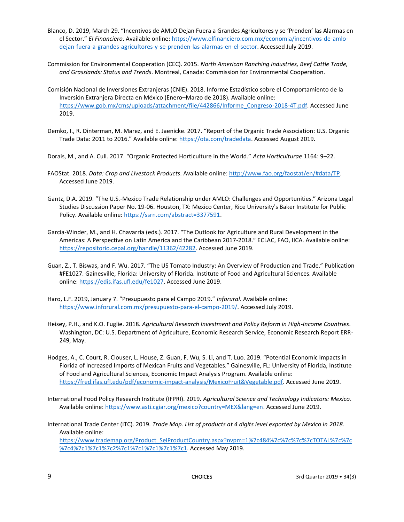- Blanco, D. 2019, March 29. "Incentivos de AMLO Dejan Fuera a Grandes Agricultores y se 'Prenden' las Alarmas en el Sector." *El Financiero*. Available online[: https://www.elfinanciero.com.mx/economia/incentivos-de-amlo](https://www.elfinanciero.com.mx/economia/incentivos-de-amlo-dejan-fuera-a-grandes-agricultores-y-se-prenden-las-alarmas-en-el-sector)[dejan-fuera-a-grandes-agricultores-y-se-prenden-las-alarmas-en-el-sector.](https://www.elfinanciero.com.mx/economia/incentivos-de-amlo-dejan-fuera-a-grandes-agricultores-y-se-prenden-las-alarmas-en-el-sector) Accessed July 2019.
- Commission for Environmental Cooperation (CEC). 2015. *North American Ranching Industries, Beef Cattle Trade, and Grasslands: Status and Trends*. Montreal, Canada: Commission for Environmental Cooperation.
- Comisión Nacional de Inversiones Extranjeras (CNIE). 2018. Informe Estadístico sobre el Comportamiento de la Inversión Extranjera Directa en México (Enero–Marzo de 2018). Available online: [https://www.gob.mx/cms/uploads/attachment/file/442866/Informe\\_Congreso-2018-4T.pdf.](https://www.gob.mx/cms/uploads/attachment/file/442866/Informe_Congreso-2018-4T.pdf) Accessed June 2019.
- Demko, I., R. Dinterman, M. Marez, and E. Jaenicke. 2017. "Report of the Organic Trade Association: U.S. Organic Trade Data: 2011 to 2016." Available online: [https://ota.com/tradedata.](https://ota.com/tradedata) Accessed August 2019.
- Dorais, M., and A. Cull. 2017. "Organic Protected Horticulture in the World." *Acta Horticulturae* 1164: 9–22.
- FAOStat. 2018. *Data: Crop and Livestock Products*. Available online[: http://www.fao.org/faostat/en/#data/TP.](http://www.fao.org/faostat/en/#data/TP)  Accessed June 2019.
- Gantz, D.A. 2019. "The U.S.-Mexico Trade Relationship under AMLO: Challenges and Opportunities." Arizona Legal Studies Discussion Paper No. 19-06. Houston, TX: Mexico Center, Rice University's Baker Institute for Public Policy. Available online: [https://ssrn.com/abstract=3377591.](https://ssrn.com/abstract=3377591)
- García-Winder, M., and H. Chavarría (eds.). 2017. "The Outlook for Agriculture and Rural Development in the Americas: A Perspective on Latin America and the Caribbean 2017-2018." ECLAC, FAO, IICA. Available online: [https://repositorio.cepal.org/handle/11362/42282.](https://repositorio.cepal.org/handle/11362/42282) Accessed June 2019.
- Guan, Z., T. Biswas, and F. Wu. 2017. "The US Tomato Industry: An Overview of Production and Trade." Publication #FE1027. Gainesville, Florida: University of Florida. Institute of Food and Agricultural Sciences. Available online[: https://edis.ifas.ufl.edu/fe1027.](https://edis.ifas.ufl.edu/fe1027) Accessed June 2019.
- Haro, L.F. 2019, January 7. "Presupuesto para el Campo 2019." *Inforural*. Available online: [https://www.inforural.com.mx/presupuesto-para-el-campo-2019/.](https://www.inforural.com.mx/presupuesto-para-el-campo-2019/) Accessed July 2019.
- Heisey, P.H., and K.O. Fuglie. 2018. *Agricultural Research Investment and Policy Reform in High-Income Countries*. Washington, DC: U.S. Department of Agriculture, Economic Research Service, Economic Research Report ERR-249, May.
- Hodges, A., C. Court, R. Clouser, L. House, Z. Guan, F. Wu, S. Li, and T. Luo. 2019. "Potential Economic Impacts in Florida of Increased Imports of Mexican Fruits and Vegetables." Gainesville, FL: University of Florida, Institute of Food and Agricultural Sciences, Economic Impact Analysis Program. Available online: [https://fred.ifas.ufl.edu/pdf/economic-impact-analysis/MexicoFruit&Vegetable.pdf.](https://fred.ifas.ufl.edu/pdf/economic-impact-analysis/MexicoFruit&Vegetable.pdf) Accessed June 2019.
- International Food Policy Research Institute (IFPRI). 2019. *Agricultural Science and Technology Indicators: Mexico*. Available online[: https://www.asti.cgiar.org/mexico?country=MEX&lang=en.](https://www.asti.cgiar.org/mexico?country=MEX&lang=en) Accessed June 2019.
- International Trade Center (ITC). 2019. *Trade Map. List of products at 4 digits level exported by Mexico in 2018.* Available online: [https://www.trademap.org/Product\\_SelProductCountry.aspx?nvpm=1%7c484%7c%7c%7c%7cTOTAL%7c%7c](https://www.trademap.org/Product_SelProductCountry.aspx?nvpm=1%7c484%7c%7c%7c%7cTOTAL%7c%7c%7c4%7c1%7c1%7c2%7c1%7c1%7c1%7c1%7c1) [%7c4%7c1%7c1%7c2%7c1%7c1%7c1%7c1%7c1.](https://www.trademap.org/Product_SelProductCountry.aspx?nvpm=1%7c484%7c%7c%7c%7cTOTAL%7c%7c%7c4%7c1%7c1%7c2%7c1%7c1%7c1%7c1%7c1) Accessed May 2019.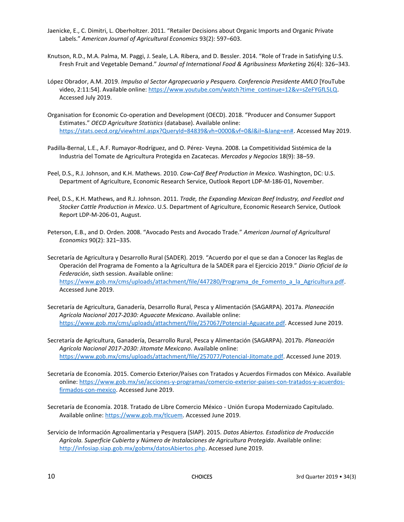- Jaenicke, E., C. Dimitri, L. Oberholtzer. 2011. "Retailer Decisions about Organic Imports and Organic Private Labels." *American Journal of Agricultural Economics* 93(2): 597–603.
- Knutson, R.D., M.A. Palma, M. Paggi, J. Seale, L.A. Ribera, and D. Bessler. 2014. "Role of Trade in Satisfying U.S. Fresh Fruit and Vegetable Demand." *Journal of International Food & Agribusiness Marketing* 26(4): 326–343.
- López Obrador, A.M. 2019. *Impulso al Sector Agropecuario y Pesquero. Conferencia Presidente AMLO* [YouTube video, 2:11:54]. Available online: https://www.youtube.com/watch?time\_continue=12&v=sZeFYGfL5LQ. Accessed July 2019.
- Organisation for Economic Co-operation and Development (OECD). 2018. "Producer and Consumer Support Estimates." *OECD Agriculture Statistics* (database). Available online: [https://stats.oecd.org/viewhtml.aspx?QueryId=84839&vh=0000&vf=0&l&il=&lang=en#.](https://stats.oecd.org/viewhtml.aspx?QueryId=84839&vh=0000&vf=0&l&il=&lang=en) Accessed May 2019.
- Padilla-Bernal, L.E., A.F. Rumayor-Rodríguez, and O. Pérez- Veyna. 2008. La Competitividad Sistémica de la Industria del Tomate de Agricultura Protegida en Zacatecas. *Mercados y Negocios* 18(9): 38–59.
- Peel, D.S., R.J. Johnson, and K.H. Mathews. 2010. *Cow-Calf Beef Production in Mexico.* Washington, DC: U.S. Department of Agriculture, Economic Research Service, Outlook Report LDP-M-186-01, November.
- Peel, D.S., K.H. Mathews, and R.J. Johnson. 2011. *Trade, the Expanding Mexican Beef Industry, and Feedlot and Stocker Cattle Production in Mexico*. U.S. Department of Agriculture, Economic Research Service, Outlook Report LDP-M-206-01, August.
- Peterson, E.B., and D. Orden. 2008. "Avocado Pests and Avocado Trade." *American Journal of Agricultural Economics* 90(2): 321–335.
- Secretaría de Agricultura y Desarrollo Rural (SADER). 2019. "Acuerdo por el que se dan a Conocer las Reglas de Operación del Programa de Fomento a la Agricultura de la SADER para el Ejercicio 2019." *Diario Oficial de la Federación*, sixth session. Available online: [https://www.gob.mx/cms/uploads/attachment/file/447280/Programa\\_de\\_Fomento\\_a\\_la\\_Agricultura.pdf.](https://www.gob.mx/cms/uploads/attachment/file/447280/Programa_de_Fomento_a_la_Agricultura.pdf) Accessed June 2019.
- Secretaría de Agricultura, Ganadería, Desarrollo Rural, Pesca y Alimentación (SAGARPA). 2017a. *Planeación Agrícola Nacional 2017-2030: Aguacate Mexicano*. Available online: [https://www.gob.mx/cms/uploads/attachment/file/257067/Potencial-Aguacate.pdf.](https://www.gob.mx/cms/uploads/attachment/file/257067/Potencial-Aguacate.pdf) Accessed June 2019.
- Secretaría de Agricultura, Ganadería, Desarrollo Rural, Pesca y Alimentación (SAGARPA). 2017b. *Planeación Agrícola Nacional 2017-2030: Jitomate Mexicano*. Available online: [https://www.gob.mx/cms/uploads/attachment/file/257077/Potencial-Jitomate.pdf.](https://www.gob.mx/cms/uploads/attachment/file/257077/Potencial-Jitomate.pdf) Accessed June 2019.
- Secretaría de Economía. 2015. Comercio Exterior/Países con Tratados y Acuerdos Firmados con México. Available online[: https://www.gob.mx/se/acciones-y-programas/comercio-exterior-paises-con-tratados-y-acuerdos](https://www.gob.mx/se/acciones-y-programas/comercio-exterior-paises-con-tratados-y-acuerdos-firmados-con-mexico)[firmados-con-mexico.](https://www.gob.mx/se/acciones-y-programas/comercio-exterior-paises-con-tratados-y-acuerdos-firmados-con-mexico) Accessed June 2019.
- Secretaría de Economía. 2018. Tratado de Libre Comercio México Unión Europa Modernizado Capitulado. Available online[: https://www.gob.mx/tlcuem.](https://www.gob.mx/tlcuem) Accessed June 2019.
- Servicio de Información Agroalimentaria y Pesquera (SIAP). 2015. *Datos Abiertos. Estadística de Producción Agrícola. Superficie Cubierta y Número de Instalaciones de Agricultura Protegida*. Available online: [http://infosiap.siap.gob.mx/gobmx/datosAbiertos.php.](http://infosiap.siap.gob.mx/gobmx/datosAbiertos.php) Accessed June 2019.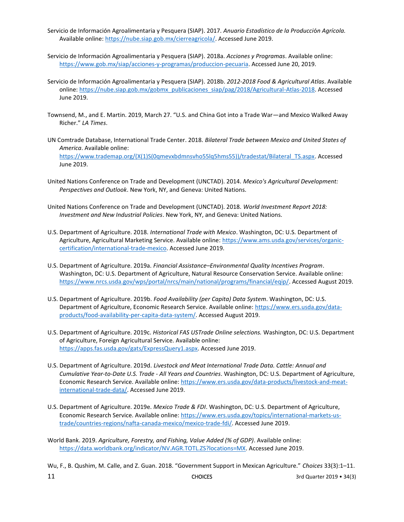Servicio de Información Agroalimentaria y Pesquera (SIAP). 2017. *Anuario Estadístico de la Producci*ó*n Agrícola.*  Available online[: https://nube.siap.gob.mx/cierreagricola/.](https://nube.siap.gob.mx/cierreagricola/) Accessed June 2019.

- Servicio de Información Agroalimentaria y Pesquera (SIAP). 2018a. *Acciones y Programas*. Available online: [https://www.gob.mx/siap/acciones-y-programas/produccion-pecuaria.](https://www.gob.mx/siap/acciones-y-programas/produccion-pecuaria) Accessed June 20, 2019.
- Servicio de Información Agroalimentaria y Pesquera (SIAP). 2018b. *2012-2018 Food & Agricultural Atlas*. Available online[: https://nube.siap.gob.mx/gobmx\\_publicaciones\\_siap/pag/2018/Agricultural-Atlas-2018.](https://nube.siap.gob.mx/gobmx_publicaciones_siap/pag/2018/Agricultural-Atlas-2018) Accessed June 2019.
- Townsend, M., and E. Martin. 2019, March 27. "U.S. and China Got into a Trade War—and Mexico Walked Away Richer." *LA Times*.
- UN Comtrade Database, International Trade Center. 2018. *Bilateral Trade between Mexico and United States of America*. Available online: [https://www.trademap.org/\(X\(1\)S\(0qmevxbdmnsvho55lq5hms55\)\)/tradestat/Bilateral\\_TS.aspx.](https://www.trademap.org/(X(1)S(0qmevxbdmnsvho55lq5hms55))/tradestat/Bilateral_TS.aspx) Accessed June 2019.
- United Nations Conference on Trade and Development (UNCTAD). 2014. *Mexico's Agricultural Development: Perspectives and Outlook*. New York, NY, and Geneva: United Nations.
- United Nations Conference on Trade and Development (UNCTAD). 2018. *World Investment Report 2018: Investment and New Industrial Policies*. New York, NY, and Geneva: United Nations.
- U.S. Department of Agriculture. 2018. *International Trade with Mexico*. Washington, DC: U.S. Department of Agriculture, Agricultural Marketing Service. Available online: [https://www.ams.usda.gov/services/organic](https://www.ams.usda.gov/services/organic-certification/international-trade-mexico)[certification/international-trade-mexico.](https://www.ams.usda.gov/services/organic-certification/international-trade-mexico) Accessed June 2019.
- U.S. Department of Agriculture. 2019a. *Financial Assistance–Environmental Quality Incentives Program*. Washington, DC: U.S. Department of Agriculture, Natural Resource Conservation Service. Available online: [https://www.nrcs.usda.gov/wps/portal/nrcs/main/national/programs/financial/eqip/.](https://www.nrcs.usda.gov/wps/portal/nrcs/main/national/programs/financial/eqip/) Accessed August 2019.
- U.S. Department of Agriculture. 2019b. *Food Availability (per Capita) Data System*. Washington, DC: U.S. Department of Agriculture, Economic Research Service. Available online[: https://www.ers.usda.gov/data](https://www.ers.usda.gov/data-products/food-availability-per-capita-data-system/)[products/food-availability-per-capita-data-system/.](https://www.ers.usda.gov/data-products/food-availability-per-capita-data-system/) Accessed August 2019.
- U.S. Department of Agriculture. 2019c. *Historical FAS USTrade Online selections.* Washington, DC: U.S. Department of Agriculture, Foreign Agricultural Service. Available online: [https://apps.fas.usda.gov/gats/ExpressQuery1.aspx.](https://apps.fas.usda.gov/gats/ExpressQuery1.aspx) Accessed June 2019.
- U.S. Department of Agriculture. 2019d. *Livestock and Meat International Trade Data. Cattle: Annual and Cumulative Year-to-Date U.S. Trade - All Years and Countries*. Washington, DC: U.S. Department of Agriculture, Economic Research Service. Available online: [https://www.ers.usda.gov/data-products/livestock-and-meat](https://www.ers.usda.gov/data-products/livestock-and-meat-international-trade-data/)[international-trade-data/.](https://www.ers.usda.gov/data-products/livestock-and-meat-international-trade-data/) Accessed June 2019.
- U.S. Department of Agriculture. 2019e. *Mexico Trade & FDI*. Washington, DC: U.S. Department of Agriculture, Economic Research Service. Available online: [https://www.ers.usda.gov/topics/international-markets-us](https://www.ers.usda.gov/topics/international-markets-us-trade/countries-regions/nafta-canada-mexico/mexico-trade-fdi/)[trade/countries-regions/nafta-canada-mexico/mexico-trade-fdi/.](https://www.ers.usda.gov/topics/international-markets-us-trade/countries-regions/nafta-canada-mexico/mexico-trade-fdi/) Accessed June 2019.

World Bank. 2019. *Agriculture, Forestry, and Fishing, Value Added (% of GDP)*. Available online: [https://data.worldbank.org/indicator/NV.AGR.TOTL.ZS?locations=MX.](https://data.worldbank.org/indicator/NV.AGR.TOTL.ZS?locations=MX) Accessed June 2019.

Wu, F., B. Qushim, M. Calle, and Z. Guan. 2018. "Government Support in Mexican Agriculture." *Choices* 33(3):1–11.